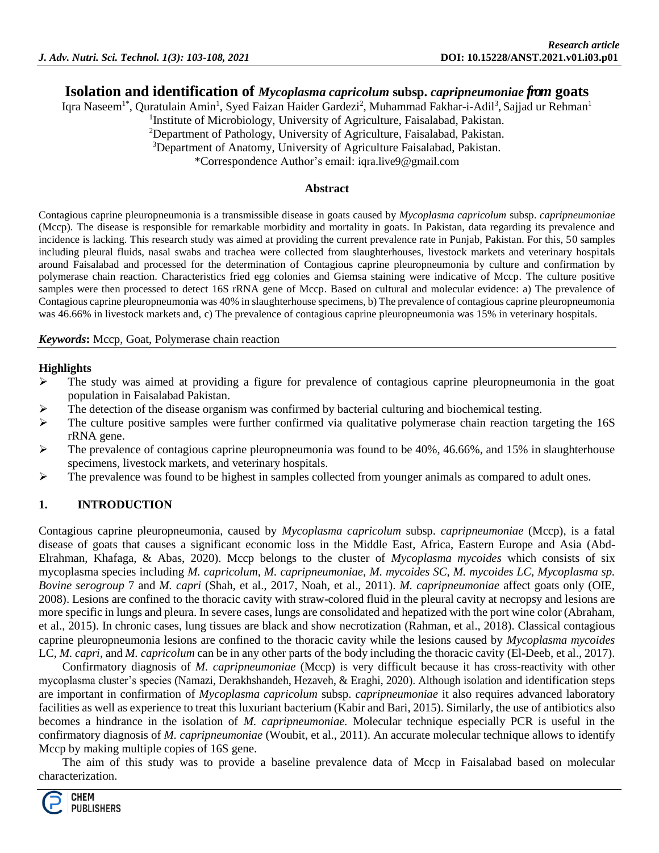# **Isolation and identification of** *Mycoplasma capricolum* **subsp.** *capripneumoniae* **from goats**

Iqra Naseem<sup>1\*</sup>, Quratulain Amin<sup>1</sup>, Syed Faizan Haider Gardezi<sup>2</sup>, Muhammad Fakhar-i-Adil<sup>3</sup>, Sajjad ur Rehman<sup>1</sup>

<sup>1</sup>Institute of Microbiology, University of Agriculture, Faisalabad, Pakistan.

<sup>2</sup>Department of Pathology, University of Agriculture, Faisalabad, Pakistan.

<sup>3</sup>Department of Anatomy, University of Agriculture Faisalabad, Pakistan.

\*Correspondence Author's email: [iqra.live9@gmail.com](mailto:iqra.live9@gmail.com)

#### **Abstract**

Contagious caprine pleuropneumonia is a transmissible disease in goats caused by *Mycoplasma capricolum* subsp. *capripneumoniae*  (Mccp). The disease is responsible for remarkable morbidity and mortality in goats. In Pakistan, data regarding its prevalence and incidence is lacking. This research study was aimed at providing the current prevalence rate in Punjab, Pakistan. For this, 50 samples including pleural fluids, nasal swabs and trachea were collected from slaughterhouses, livestock markets and veterinary hospitals around Faisalabad and processed for the determination of Contagious caprine pleuropneumonia by culture and confirmation by polymerase chain reaction. Characteristics fried egg colonies and Giemsa staining were indicative of Mccp. The culture positive samples were then processed to detect 16S rRNA gene of Mccp. Based on cultural and molecular evidence: a) The prevalence of Contagious caprine pleuropneumonia was 40% in slaughterhouse specimens, b) The prevalence of contagious caprine pleuropneumonia was 46.66% in livestock markets and, c) The prevalence of contagious caprine pleuropneumonia was 15% in veterinary hospitals.

#### *Keywords***:** Mccp, Goat, Polymerase chain reaction

### **Highlights**

- $\triangleright$  The study was aimed at providing a figure for prevalence of contagious caprine pleuropneumonia in the goat population in Faisalabad Pakistan.
- The detection of the disease organism was confirmed by bacterial culturing and biochemical testing.
- $\triangleright$  The culture positive samples were further confirmed via qualitative polymerase chain reaction targeting the 16S rRNA gene.
- $\triangleright$  The prevalence of contagious caprine pleuropneumonia was found to be 40%, 46.66%, and 15% in slaughterhouse specimens, livestock markets, and veterinary hospitals.
- $\triangleright$  The prevalence was found to be highest in samples collected from younger animals as compared to adult ones.

# **1. INTRODUCTION**

Contagious caprine pleuropneumonia, caused by *Mycoplasma capricolum* subsp. *capripneumoniae* (Mccp), is a fatal disease of goats that causes a significant economic loss in the Middle East, Africa, Eastern Europe and Asia (Abd-Elrahman, Khafaga, & Abas, 2020). Mccp belongs to the cluster of *Mycoplasma mycoides* which consists of six mycoplasma species including *M. capricolum, M. capripneumoniae, M. mycoides SC, M. mycoides LC, Mycoplasma sp. Bovine serogroup* 7 and *M. capri* (Shah, et al., 2017, Noah, et al., 2011). *M. capripneumoniae* affect goats only (OIE, 2008). Lesions are confined to the thoracic cavity with straw-colored fluid in the pleural cavity at necropsy and lesions are more specific in lungs and pleura. In severe cases, lungs are consolidated and hepatized with the port wine color (Abraham, et al., 2015). In chronic cases, lung tissues are black and show necrotization (Rahman, et al., 2018). Classical contagious caprine pleuropneumonia lesions are confined to the thoracic cavity while the lesions caused by *Mycoplasma mycoides*  LC, *M. capri*, and *M. capricolum* can be in any other parts of the body including the thoracic cavity (El-Deeb, et al., 2017).

Confirmatory diagnosis of *M. capripneumoniae* (Mccp) is very difficult because it has cross-reactivity with other mycoplasma cluster's species (Namazi, Derakhshandeh, Hezaveh, & Eraghi, 2020). Although isolation and identification steps are important in confirmation of *Mycoplasma capricolum* subsp. *capripneumoniae* it also requires advanced laboratory facilities as well as experience to treat this luxuriant bacterium (Kabir and Bari, 2015). Similarly, the use of antibiotics also becomes a hindrance in the isolation of *M. capripneumoniae.* Molecular technique especially PCR is useful in the confirmatory diagnosis of *M. capripneumoniae* (Woubit, et al., 2011). An accurate molecular technique allows to identify Mccp by making multiple copies of 16S gene.

The aim of this study was to provide a baseline prevalence data of Mccp in Faisalabad based on molecular characterization.

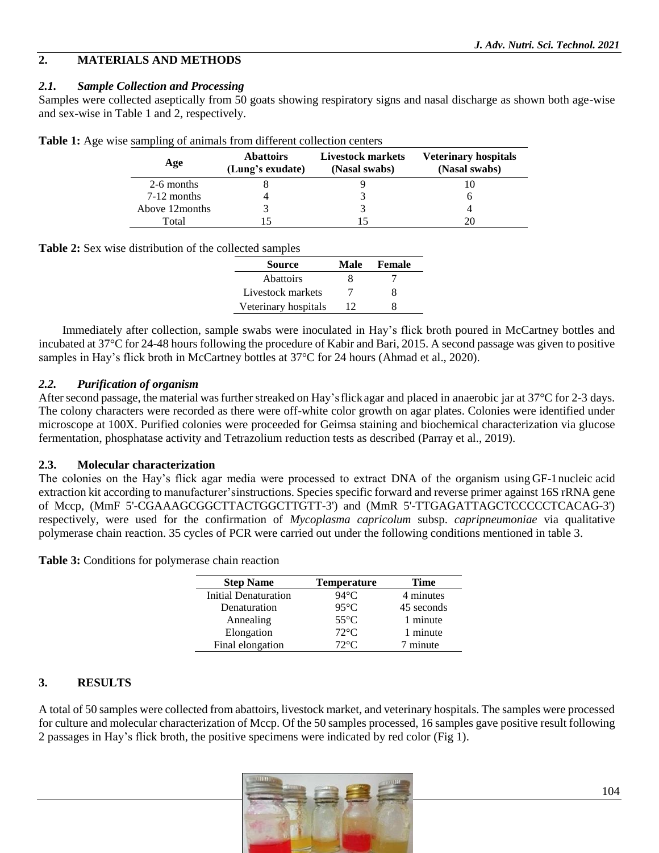# **2. MATERIALS AND METHODS**

## *2.1. Sample Collection and Processing*

Samples were collected aseptically from 50 goats showing respiratory signs and nasal discharge as shown both age-wise and sex-wise in Table 1 and 2, respectively.

| Age             | <b>Abattoirs</b><br>(Lung's exudate) | Livestock markets<br>(Nasal swabs) | <b>Veterinary hospitals</b><br>(Nasal swabs) |
|-----------------|--------------------------------------|------------------------------------|----------------------------------------------|
| 2-6 months      |                                      |                                    |                                              |
| 7-12 months     |                                      |                                    |                                              |
| Above 12 months |                                      |                                    |                                              |
| Total           |                                      |                                    |                                              |

|  |  |  |  | <b>Table 1:</b> Age wise sampling of animals from different collection centers |  |
|--|--|--|--|--------------------------------------------------------------------------------|--|
|--|--|--|--|--------------------------------------------------------------------------------|--|

**Table 2:** Sex wise distribution of the collected samples

| <b>Source</b>        | Male | Female |
|----------------------|------|--------|
| <b>Abattoirs</b>     |      |        |
| Livestock markets    |      |        |
| Veterinary hospitals | 12   |        |

Immediately after collection, sample swabs were inoculated in Hay's flick broth poured in McCartney bottles and incubated at 37°C for 24-48 hours following the procedure of Kabir and Bari, 2015. A second passage was given to positive samples in Hay's flick broth in McCartney bottles at 37°C for 24 hours (Ahmad et al., 2020).

### *2.2. Purification of organism*

After second passage, the material was further streaked on Hay's flick agar and placed in anaerobic jar at  $37^{\circ}$ C for 2-3 days. The colony characters were recorded as there were off-white color growth on agar plates. Colonies were identified under microscope at 100X. Purified colonies were proceeded for Geimsa staining and biochemical characterization via glucose fermentation, phosphatase activity and Tetrazolium reduction tests as described (Parray et al., 2019).

#### **2.3. Molecular characterization**

The colonies on the Hay's flick agar media were processed to extract DNA of the organism using GF-1nucleic acid extraction kit according to manufacturer'sinstructions. Species specific forward and reverse primer against 16S rRNA gene of Mccp, (MmF 5'-CGAAAGCGGCTTACTGGCTTGTT-3') and (MmR 5'-TTGAGATTAGCTCCCCCTCACAG-3') respectively, were used for the confirmation of *Mycoplasma capricolum* subsp. *capripneumoniae* via qualitative polymerase chain reaction. 35 cycles of PCR were carried out under the following conditions mentioned in table 3.

**Table 3:** Conditions for polymerase chain reaction

| <b>Step Name</b>     | <b>Temperature</b> | Time       |
|----------------------|--------------------|------------|
| Initial Denaturation | 94°C               | 4 minutes  |
| Denaturation         | $95^{\circ}$ C     | 45 seconds |
| Annealing            | $55^{\circ}$ C     | 1 minute   |
| Elongation           | $72^{\circ}$ C     | 1 minute   |
| Final elongation     | $72^{\circ}$ C     | 7 minute   |

# **3. RESULTS**

A total of 50 samples were collected from abattoirs, livestock market, and veterinary hospitals. The samples were processed for culture and molecular characterization of Mccp. Of the 50 samples processed, 16 samples gave positive result following 2 passages in Hay's flick broth, the positive specimens were indicated by red color (Fig 1).

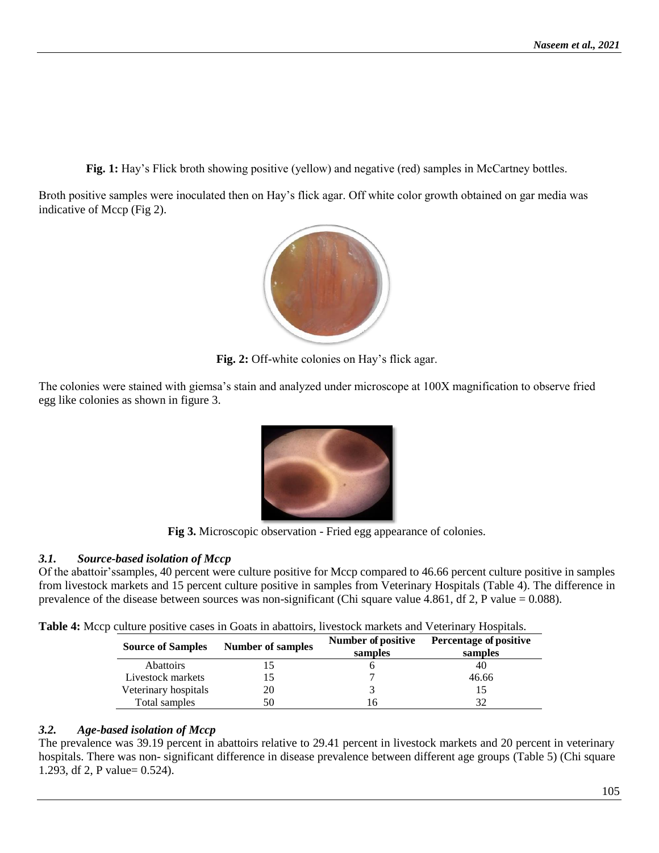**Fig. 1:** Hay's Flick broth showing positive (yellow) and negative (red) samples in McCartney bottles.

Broth positive samples were inoculated then on Hay's flick agar. Off white color growth obtained on gar media was indicative of Mccp (Fig 2).



**Fig. 2:** Off-white colonies on Hay's flick agar.

The colonies were stained with giemsa's stain and analyzed under microscope at 100X magnification to observe fried egg like colonies as shown in figure 3.



**Fig 3.** Microscopic observation - Fried egg appearance of colonies.

# *3.1. Source-based isolation of Mccp*

Of the abattoir'ssamples, 40 percent were culture positive for Mccp compared to 46.66 percent culture positive in samples from livestock markets and 15 percent culture positive in samples from Veterinary Hospitals (Table 4). The difference in prevalence of the disease between sources was non-significant (Chi square value 4.861, df 2, P value = 0.088).

| Table 4: Mccp culture positive cases in Goats in abattoirs, livestock markets and Veterinary Hospitals. |  |  |
|---------------------------------------------------------------------------------------------------------|--|--|
|                                                                                                         |  |  |

| <b>Source of Samples</b> | Number of samples | Number of positive | <b>Percentage of positive</b> |
|--------------------------|-------------------|--------------------|-------------------------------|
|                          |                   | samples            | samples                       |
| <b>Abattoirs</b>         |                   |                    | 40                            |
| Livestock markets        |                   |                    | 46.66                         |
| Veterinary hospitals     | 20                |                    |                               |
| Total samples            | 50                | h                  |                               |

# *3.2. Age-based isolation of Mccp*

The prevalence was 39.19 percent in abattoirs relative to 29.41 percent in livestock markets and 20 percent in veterinary hospitals. There was non- significant difference in disease prevalence between different age groups (Table 5) (Chi square 1.293, df 2, P value= 0.524).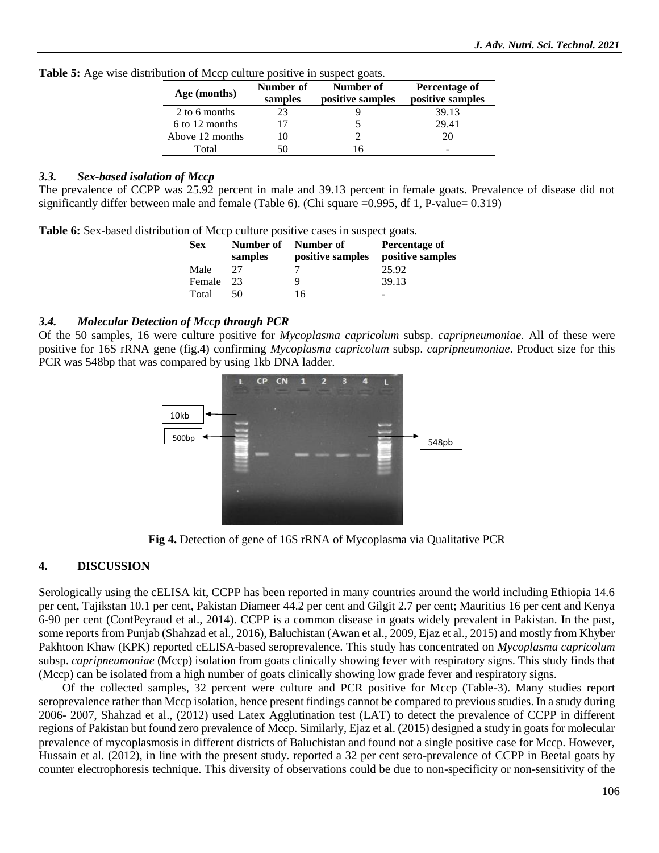| Age (months)    | Number of<br>samples | Number of<br>positive samples | Percentage of<br>positive samples |
|-----------------|----------------------|-------------------------------|-----------------------------------|
| 2 to 6 months   |                      |                               | 39.13                             |
| 6 to 12 months  |                      |                               | 29.41                             |
| Above 12 months |                      |                               | 20                                |
| Total           |                      | 6                             | -                                 |

**Table 5:** Age wise distribution of Mccp culture positive in suspect goats.

### *3.3. Sex-based isolation of Mccp*

The prevalence of CCPP was 25.92 percent in male and 39.13 percent in female goats. Prevalence of disease did not significantly differ between male and female (Table 6). (Chi square  $=0.995$ , df 1, P-value= 0.319)

**Table 6:** Sex-based distribution of Mccp culture positive cases in suspect goats.

| <b>Sex</b> | samples | Number of Number of<br>positive samples | Percentage of<br>positive samples |
|------------|---------|-----------------------------------------|-----------------------------------|
| Male       |         |                                         | 25.92                             |
| Female     | -23     |                                         | 39.13                             |
| Total      | 50      | 16                                      |                                   |

### *3.4. Molecular Detection of Mccp through PCR*

Of the 50 samples, 16 were culture positive for *Mycoplasma capricolum* subsp. *capripneumoniae*. All of these were positive for 16S rRNA gene (fig.4) confirming *Mycoplasma capricolum* subsp. *capripneumoniae*. Product size for this PCR was 548bp that was compared by using 1kb DNA ladder.



**Fig 4.** Detection of gene of 16S rRNA of Mycoplasma via Qualitative PCR

# **4. DISCUSSION**

Serologically using the cELISA kit, CCPP has been reported in many countries around the world including Ethiopia 14.6 per cent, Tajikstan 10.1 per cent, Pakistan Diameer 44.2 per cent and Gilgit 2.7 per cent; Mauritius 16 per cent and Kenya 6-90 per cent (ContPeyraud et al., 2014). CCPP is a common disease in goats widely prevalent in Pakistan. In the past, some reports from Punjab (Shahzad et al., 2016), Baluchistan (Awan et al., 2009, Ejaz et al., 2015) and mostly from Khyber Pakhtoon Khaw (KPK) reported cELISA-based seroprevalence. This study has concentrated on *Mycoplasma capricolum*  subsp. *capripneumoniae* (Mccp) isolation from goats clinically showing fever with respiratory signs. This study finds that (Mccp) can be isolated from a high number of goats clinically showing low grade fever and respiratory signs.

Of the collected samples, 32 percent were culture and PCR positive for Mccp (Table-3). Many studies report seroprevalence rather than Mccp isolation, hence present findings cannot be compared to previous studies. In a study during 2006- 2007, Shahzad et al., (2012) used Latex Agglutination test (LAT) to detect the prevalence of CCPP in different regions of Pakistan but found zero prevalence of Mccp. Similarly, Ejaz et al. (2015) designed a study in goats for molecular prevalence of mycoplasmosis in different districts of Baluchistan and found not a single positive case for Mccp. However, Hussain et al. (2012), in line with the present study. reported a 32 per cent sero-prevalence of CCPP in Beetal goats by counter electrophoresis technique. This diversity of observations could be due to non-specificity or non-sensitivity of the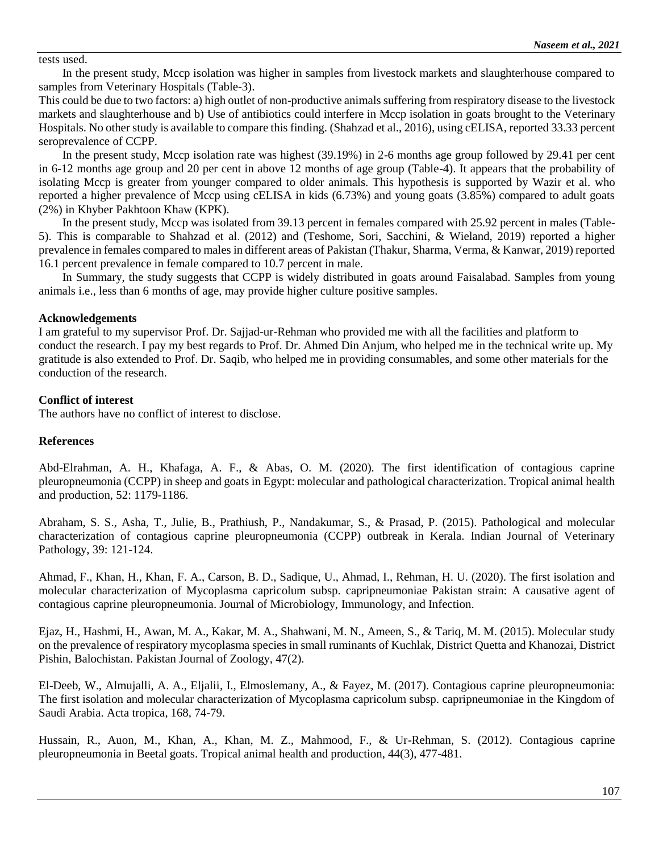tests used.

In the present study, Mccp isolation was higher in samples from livestock markets and slaughterhouse compared to samples from Veterinary Hospitals (Table-3).

This could be due to two factors: a) high outlet of non-productive animals suffering from respiratory disease to the livestock markets and slaughterhouse and b) Use of antibiotics could interfere in Mccp isolation in goats brought to the Veterinary Hospitals. No other study is available to compare this finding. (Shahzad et al., 2016), using cELISA, reported 33.33 percent seroprevalence of CCPP.

In the present study, Mccp isolation rate was highest (39.19%) in 2-6 months age group followed by 29.41 per cent in 6-12 months age group and 20 per cent in above 12 months of age group (Table-4). It appears that the probability of isolating Mccp is greater from younger compared to older animals. This hypothesis is supported by Wazir et al. who reported a higher prevalence of Mccp using cELISA in kids (6.73%) and young goats (3.85%) compared to adult goats (2%) in Khyber Pakhtoon Khaw (KPK).

In the present study, Mccp was isolated from 39.13 percent in females compared with 25.92 percent in males (Table-5). This is comparable to Shahzad et al. (2012) and (Teshome, Sori, Sacchini, & Wieland, 2019) reported a higher prevalence in females compared to males in different areas of Pakistan (Thakur, Sharma, Verma, & Kanwar, 2019) reported 16.1 percent prevalence in female compared to 10.7 percent in male.

In Summary, the study suggests that CCPP is widely distributed in goats around Faisalabad. Samples from young animals i.e., less than 6 months of age, may provide higher culture positive samples.

#### **Acknowledgements**

I am grateful to my supervisor Prof. Dr. Sajjad-ur-Rehman who provided me with all the facilities and platform to conduct the research. I pay my best regards to Prof. Dr. Ahmed Din Anjum, who helped me in the technical write up. My gratitude is also extended to Prof. Dr. Saqib, who helped me in providing consumables, and some other materials for the conduction of the research.

#### **Conflict of interest**

The authors have no conflict of interest to disclose.

#### **References**

Abd-Elrahman, A. H., Khafaga, A. F., & Abas, O. M. (2020). The first identification of contagious caprine pleuropneumonia (CCPP) in sheep and goats in Egypt: molecular and pathological characterization. Tropical animal health and production, 52: 1179-1186.

Abraham, S. S., Asha, T., Julie, B., Prathiush, P., Nandakumar, S., & Prasad, P. (2015). Pathological and molecular characterization of contagious caprine pleuropneumonia (CCPP) outbreak in Kerala. Indian Journal of Veterinary Pathology, 39: 121-124.

Ahmad, F., Khan, H., Khan, F. A., Carson, B. D., Sadique, U., Ahmad, I., Rehman, H. U. (2020). The first isolation and molecular characterization of Mycoplasma capricolum subsp. capripneumoniae Pakistan strain: A causative agent of contagious caprine pleuropneumonia. Journal of Microbiology, Immunology, and Infection.

Ejaz, H., Hashmi, H., Awan, M. A., Kakar, M. A., Shahwani, M. N., Ameen, S., & Tariq, M. M. (2015). Molecular study on the prevalence of respiratory mycoplasma species in small ruminants of Kuchlak, District Quetta and Khanozai, District Pishin, Balochistan. Pakistan Journal of Zoology, 47(2).

El-Deeb, W., Almujalli, A. A., Eljalii, I., Elmoslemany, A., & Fayez, M. (2017). Contagious caprine pleuropneumonia: The first isolation and molecular characterization of Mycoplasma capricolum subsp. capripneumoniae in the Kingdom of Saudi Arabia. Acta tropica, 168, 74-79.

Hussain, R., Auon, M., Khan, A., Khan, M. Z., Mahmood, F., & Ur-Rehman, S. (2012). Contagious caprine pleuropneumonia in Beetal goats. Tropical animal health and production, 44(3), 477-481.